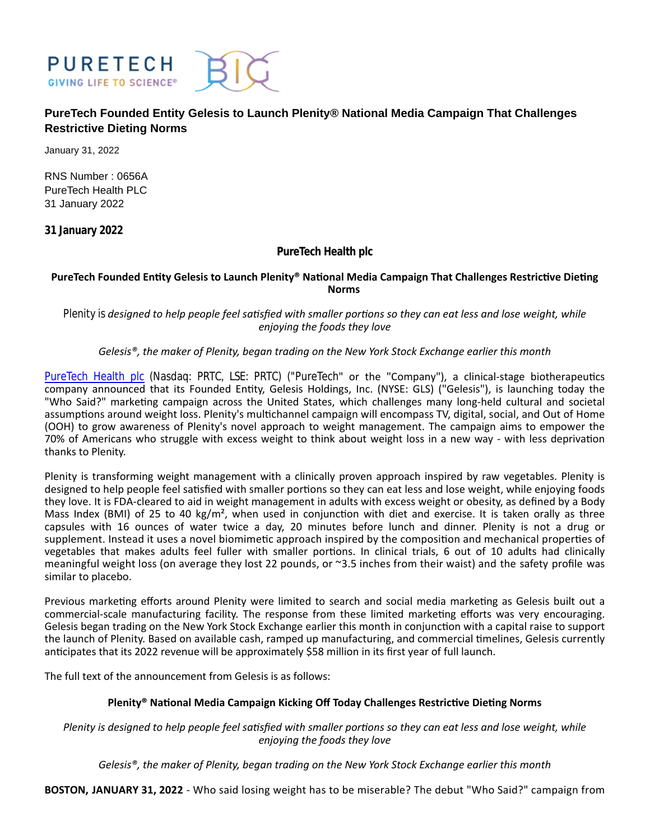

# **PureTech Founded Entity Gelesis to Launch Plenity® National Media Campaign That Challenges Restrictive Dieting Norms**

January 31, 2022

RNS Number : 0656A PureTech Health PLC 31 January 2022

**31 January 2022**

## **PureTech Health plc**

### PureTech Founded Entity Gelesis to Launch Plenity® National Media Campaign That Challenges Restrictive Dieting **Norms**

*Plenity is designed to help people feel satisfied with smaller portions so they can eat less and lose weight, while enjoying the foods they love*

## *Gelesis®, the maker of Plenity, began trading on the New York Stock Exchange earlier this month*

[PureTech Health plc](https://puretechhealth.com/) (Nasdaq: PRTC, LSE: PRTC) ("PureTech" or the "Company"), a clinical-stage biotherapeutics company announced that its Founded Entity, Gelesis Holdings, Inc. (NYSE: GLS) ("Gelesis"), is launching today the "Who Said?" marketing campaign across the United States, which challenges many long-held cultural and societal assumptions around weight loss. Plenity's multichannel campaign will encompass TV, digital, social, and Out of Home (OOH) to grow awareness of Plenity's novel approach to weight management. The campaign aims to empower the 70% of Americans who struggle with excess weight to think about weight loss in a new way - with less deprivation thanks to Plenity.

Plenity is transforming weight management with a clinically proven approach inspired by raw vegetables. Plenity is designed to help people feel satisfied with smaller portions so they can eat less and lose weight, while enjoying foods they love. It is FDA-cleared to aid in weight management in adults with excess weight or obesity, as defined by a Body Mass Index (BMI) of 25 to 40 kg/m<sup>2</sup>, when used in conjunction with diet and exercise. It is taken orally as three capsules with 16 ounces of water twice a day, 20 minutes before lunch and dinner. Plenity is not a drug or supplement. Instead it uses a novel biomimetic approach inspired by the composition and mechanical properties of vegetables that makes adults feel fuller with smaller portions. In clinical trials, 6 out of 10 adults had clinically meaningful weight loss (on average they lost 22 pounds, or ~3.5 inches from their waist) and the safety profile was similar to placebo.

Previous marketing efforts around Plenity were limited to search and social media marketing as Gelesis built out a commercial-scale manufacturing facility. The response from these limited marketing efforts was very encouraging. Gelesis began trading on the New York Stock Exchange earlier this month in conjunction with a capital raise to support the launch of Plenity. Based on available cash, ramped up manufacturing, and commercial timelines, Gelesis currently anticipates that its 2022 revenue will be approximately \$58 million in its first year of full launch.

The full text of the announcement from Gelesis is as follows:

## Plenity<sup>®</sup> National Media Campaign Kicking Off Today Challenges Restrictive Dieting Norms

*Plenity is designed to help people feel satisfied with smaller portions so they can eat less and lose weight, while enjoying the foods they love*

*Gelesis®, the maker of Plenity, began trading on the New York Stock Exchange earlier this month*

**BOSTON, JANUARY 31, 2022** - Who said losing weight has to be miserable? The debut "Who Said?" campaign from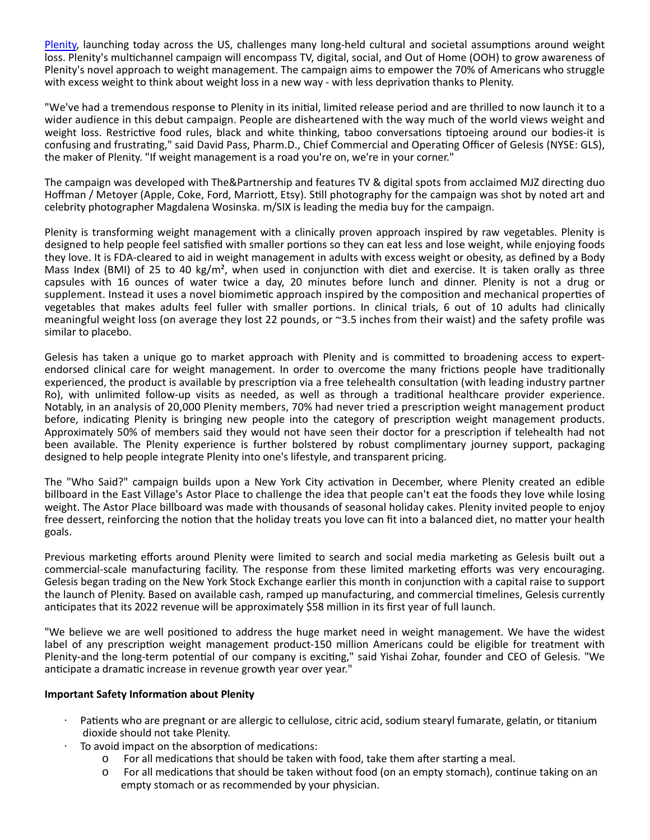[Plenity,](https://www.myplenity.com/) launching today across the US, challenges many long-held cultural and societal assumptions around weight loss. Plenity's multichannel campaign will encompass TV, digital, social, and Out of Home (OOH) to grow awareness of Plenity's novel approach to weight management. The campaign aims to empower the 70% of Americans who struggle with excess weight to think about weight loss in a new way - with less deprivation thanks to Plenity.

"We've had a tremendous response to Plenity in its initial, limited release period and are thrilled to now launch it to a wider audience in this debut campaign. People are disheartened with the way much of the world views weight and weight loss. Restrictive food rules, black and white thinking, taboo conversations tiptoeing around our bodies-it is confusing and frustrating," said David Pass, Pharm.D., Chief Commercial and Operating Officer of Gelesis (NYSE: GLS), the maker of Plenity. "If weight management is a road you're on, we're in your corner."

The campaign was developed with The&Partnership and features TV & digital spots from acclaimed MJZ directing duo Hoffman / Metoyer (Apple, Coke, Ford, Marriott, Etsy). Still photography for the campaign was shot by noted art and celebrity photographer Magdalena Wosinska. m/SIX is leading the media buy for the campaign.

Plenity is transforming weight management with a clinically proven approach inspired by raw vegetables. Plenity is designed to help people feel satisfied with smaller portions so they can eat less and lose weight, while enjoying foods they love. It is FDA-cleared to aid in weight management in adults with excess weight or obesity, as defined by a Body Mass Index (BMI) of 25 to 40 kg/m<sup>2</sup>, when used in conjunction with diet and exercise. It is taken orally as three capsules with 16 ounces of water twice a day, 20 minutes before lunch and dinner. Plenity is not a drug or supplement. Instead it uses a novel biomimetic approach inspired by the composition and mechanical properties of vegetables that makes adults feel fuller with smaller portions. In clinical trials, 6 out of 10 adults had clinically meaningful weight loss (on average they lost 22 pounds, or ~3.5 inches from their waist) and the safety profile was similar to placebo.

Gelesis has taken a unique go to market approach with Plenity and is committed to broadening access to expertendorsed clinical care for weight management. In order to overcome the many frictions people have traditionally experienced, the product is available by prescription via a free telehealth consultation (with leading industry partner Ro), with unlimited follow-up visits as needed, as well as through a traditional healthcare provider experience. Notably, in an analysis of 20,000 Plenity members, 70% had never tried a prescription weight management product before, indicating Plenity is bringing new people into the category of prescription weight management products. Approximately 50% of members said they would not have seen their doctor for a prescription if telehealth had not been available. The Plenity experience is further bolstered by robust complimentary journey support, packaging designed to help people integrate Plenity into one's lifestyle, and transparent pricing.

The "Who Said?" campaign builds upon a New York City activation in December, where Plenity created an edible billboard in the East Village's Astor Place to challenge the idea that people can't eat the foods they love while losing weight. The Astor Place billboard was made with thousands of seasonal holiday cakes. Plenity invited people to enjoy free dessert, reinforcing the notion that the holiday treats you love can fit into a balanced diet, no matter your health goals.

Previous marketing efforts around Plenity were limited to search and social media marketing as Gelesis built out a commercial-scale manufacturing facility. The response from these limited marketing efforts was very encouraging. Gelesis began trading on the New York Stock Exchange earlier this month in conjunction with a capital raise to support the launch of Plenity. Based on available cash, ramped up manufacturing, and commercial timelines, Gelesis currently anticipates that its 2022 revenue will be approximately \$58 million in its first year of full launch.

"We believe we are well positioned to address the huge market need in weight management. We have the widest label of any prescription weight management product-150 million Americans could be eligible for treatment with Plenity-and the long-term potential of our company is exciting," said Yishai Zohar, founder and CEO of Gelesis. "We anticipate a dramatic increase in revenue growth year over year."

## **Important Safety InformaƟon about Plenity**

- · Patients who are pregnant or are allergic to cellulose, citric acid, sodium stearyl fumarate, gelatin, or titanium dioxide should not take Plenity.
- $\cdot$  To avoid impact on the absorption of medications:
	- $\circ$  For all medications that should be taken with food, take them after starting a meal.
	- For all medications that should be taken without food (on an empty stomach), continue taking on an empty stomach or as recommended by your physician.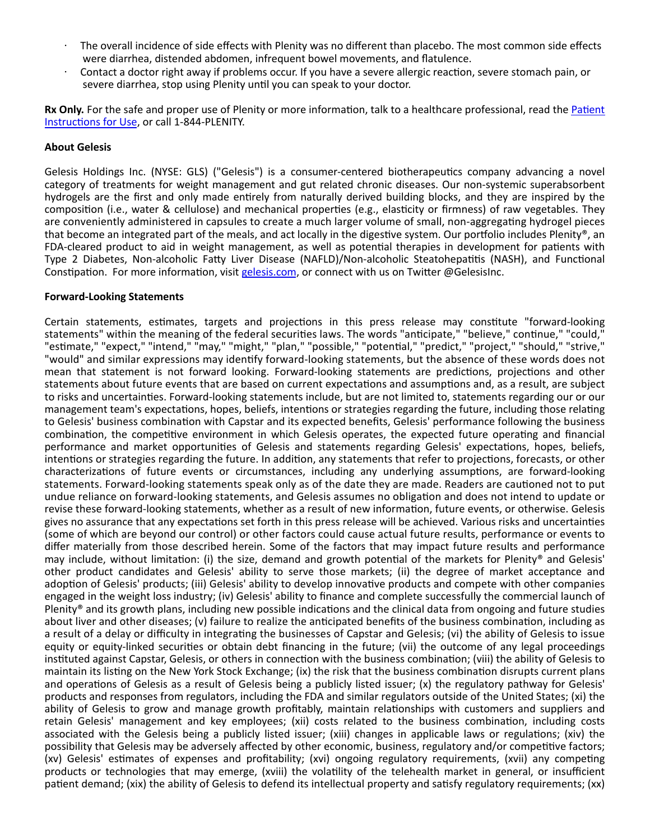- · The overall incidence of side effects with Plenity was no different than placebo. The most common side effects were diarrhea, distended abdomen, infrequent bowel movements, and flatulence.
- · Contact a doctor right away if problems occur. If you have a severe allergic reacƟon, severe stomach pain, or severe diarrhea, stop using Plenity until you can speak to your doctor.

**Rx Only.** For the safe and proper use of Plenity or more information, talk to a healthcare professional, read the Patient Instructions for Use, or call 1-844-PLENITY.

#### **About Gelesis**

Gelesis Holdings Inc. (NYSE: GLS) ("Gelesis") is a consumer-centered biotherapeutics company advancing a novel category of treatments for weight management and gut related chronic diseases. Our non-systemic superabsorbent hydrogels are the first and only made entirely from naturally derived building blocks, and they are inspired by the composition (i.e., water & cellulose) and mechanical properties (e.g., elasticity or firmness) of raw vegetables. They are conveniently administered in capsules to create a much larger volume of small, non-aggregating hydrogel pieces that become an integrated part of the meals, and act locally in the digestive system. Our portfolio includes Plenity®, an FDA-cleared product to aid in weight management, as well as potential therapies in development for patients with Type 2 Diabetes, Non-alcoholic Fatty Liver Disease (NAFLD)/Non-alcoholic Steatohepatitis (NASH), and Functional Constipation. For more information, visit [gelesis.com,](https://www.gelesis.com/) or connect with us on Twitter @GelesisInc.

### **Forward-Looking Statements**

Certain statements, estimates, targets and projections in this press release may constitute "forward-looking statements" within the meaning of the federal securities laws. The words "anticipate," "believe," continue," "could," "estimate," "expect," "intend," "may," "might," "plan," "possible," "potential," "predict," "project," "should," "strive," "would" and similar expressions may identify forward-looking statements, but the absence of these words does not mean that statement is not forward looking. Forward-looking statements are predictions, projections and other statements about future events that are based on current expectations and assumptions and, as a result, are subject to risks and uncertainties. Forward-looking statements include, but are not limited to, statements regarding our or our management team's expectations, hopes, beliefs, intentions or strategies regarding the future, including those relating to Gelesis' business combination with Capstar and its expected benefits, Gelesis' performance following the business combination, the competitive environment in which Gelesis operates, the expected future operating and financial performance and market opportunities of Gelesis and statements regarding Gelesis' expectations, hopes, beliefs, intentions or strategies regarding the future. In addition, any statements that refer to projections, forecasts, or other characterizations of future events or circumstances, including any underlying assumptions, are forward-looking statements. Forward-looking statements speak only as of the date they are made. Readers are cautioned not to put undue reliance on forward-looking statements, and Gelesis assumes no obligation and does not intend to update or revise these forward-looking statements, whether as a result of new information, future events, or otherwise, Gelesis gives no assurance that any expectations set forth in this press release will be achieved. Various risks and uncertainties (some of which are beyond our control) or other factors could cause actual future results, performance or events to differ materially from those described herein. Some of the factors that may impact future results and performance may include, without limitation: (i) the size, demand and growth potential of the markets for Plenity® and Gelesis' other product candidates and Gelesis' ability to serve those markets; (ii) the degree of market acceptance and adoption of Gelesis' products; (iii) Gelesis' ability to develop innovative products and compete with other companies engaged in the weight loss industry; (iv) Gelesis' ability to finance and complete successfully the commercial launch of Plenity<sup>®</sup> and its growth plans, including new possible indications and the clinical data from ongoing and future studies about liver and other diseases; (v) failure to realize the anticipated benefits of the business combination, including as a result of a delay or difficulty in integrating the businesses of Capstar and Gelesis; (vi) the ability of Gelesis to issue equity or equity-linked securities or obtain debt financing in the future; (vii) the outcome of any legal proceedings instituted against Capstar, Gelesis, or others in connection with the business combination; (viii) the ability of Gelesis to maintain its listing on the New York Stock Exchange; (ix) the risk that the business combination disrupts current plans and operations of Gelesis as a result of Gelesis being a publicly listed issuer; (x) the regulatory pathway for Gelesis' products and responses from regulators, including the FDA and similar regulators outside of the United States; (xi) the ability of Gelesis to grow and manage growth profitably, maintain relationships with customers and suppliers and retain Gelesis' management and key employees; (xii) costs related to the business combination, including costs associated with the Gelesis being a publicly listed issuer; (xiii) changes in applicable laws or regulations; (xiv) the possibility that Gelesis may be adversely affected by other economic, business, regulatory and/or competitive factors; (xv) Gelesis' estimates of expenses and profitability; (xvi) ongoing regulatory requirements, (xvii) any competing products or technologies that may emerge, (xviii) the volatility of the telehealth market in general, or insufficient patient demand; (xix) the ability of Gelesis to defend its intellectual property and satisfy regulatory requirements; (xx)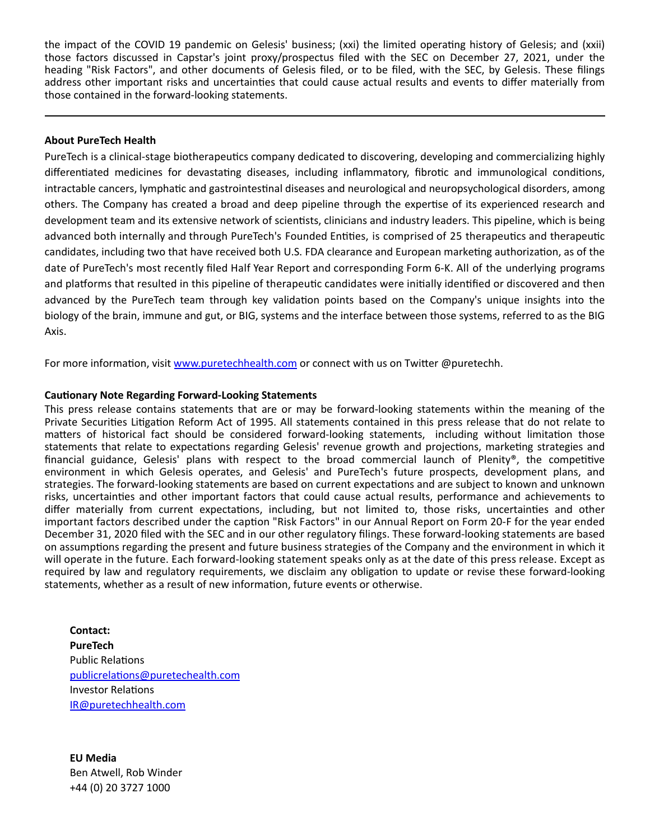the impact of the COVID 19 pandemic on Gelesis' business; (xxi) the limited operating history of Gelesis; and (xxii) those factors discussed in Capstar's joint proxy/prospectus filed with the SEC on December 27, 2021, under the heading "Risk Factors", and other documents of Gelesis filed, or to be filed, with the SEC, by Gelesis. These filings address other important risks and uncertainties that could cause actual results and events to differ materially from those contained in the forward-looking statements.

### **About PureTech Health**

PureTech is a clinical-stage biotherapeutics company dedicated to discovering, developing and commercializing highly differentiated medicines for devastating diseases, including inflammatory, fibrotic and immunological conditions, intractable cancers, lymphatic and gastrointestinal diseases and neurological and neuropsychological disorders, among others. The Company has created a broad and deep pipeline through the expertise of its experienced research and development team and its extensive network of scientists, clinicians and industry leaders. This pipeline, which is being advanced both internally and through PureTech's Founded Entities, is comprised of 25 therapeutics and therapeutic candidates, including two that have received both U.S. FDA clearance and European marketing authorization, as of the date of PureTech's most recently filed Half Year Report and corresponding Form 6-K. All of the underlying programs and platforms that resulted in this pipeline of therapeutic candidates were initially identified or discovered and then advanced by the PureTech team through key validation points based on the Company's unique insights into the biology of the brain, immune and gut, or BIG, systems and the interface between those systems, referred to as the BIG Axis.

For more information, visit [www.puretechhealth.com o](http://www.puretechhealth.com/)r connect with us on Twitter @puretechh.

### **Cautionary Note Regarding Forward-Looking Statements**

This press release contains statements that are or may be forward-looking statements within the meaning of the Private Securities Litigation Reform Act of 1995. All statements contained in this press release that do not relate to matters of historical fact should be considered forward-looking statements, including without limitation those statements that relate to expectations regarding Gelesis' revenue growth and projections, marketing strategies and financial guidance, Gelesis' plans with respect to the broad commercial launch of Plenity®, the competitive environment in which Gelesis operates, and Gelesis' and PureTech's future prospects, development plans, and strategies. The forward-looking statements are based on current expectations and are subject to known and unknown risks, uncertainƟes and other important factors that could cause actual results, performance and achievements to differ materially from current expectations, including, but not limited to, those risks, uncertainties and other important factors described under the caption "Risk Factors" in our Annual Report on Form 20-F for the year ended December 31, 2020 filed with the SEC and in our other regulatory filings. These forward-looking statements are based on assumptions regarding the present and future business strategies of the Company and the environment in which it will operate in the future. Each forward-looking statement speaks only as at the date of this press release. Except as required by law and regulatory requirements, we disclaim any obligation to update or revise these forward-looking statements, whether as a result of new information, future events or otherwise.

**Contact: PureTech** Public Relations [publicrelaƟons@puretechealth.com](mailto:publicrelations@puretechealth.com) Investor RelaƟons [IR@puretechhealth.com](mailto:IR@puretechhealth.com)

**EU Media** Ben Atwell, Rob Winder +44 (0) 20 3727 1000